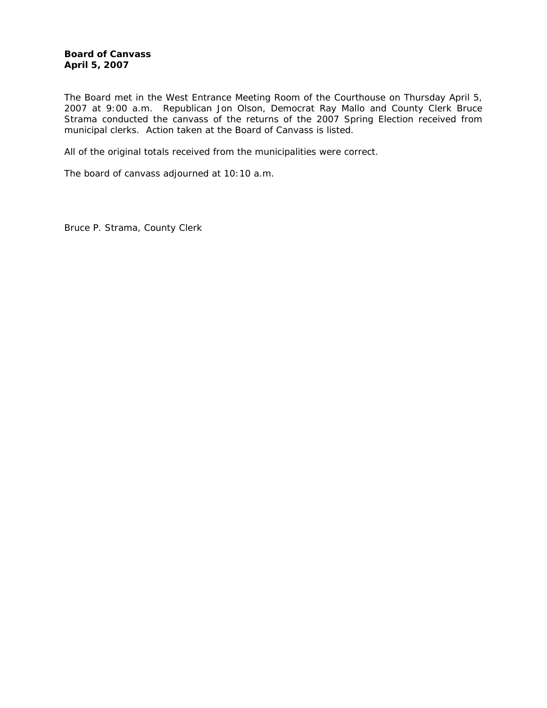The Board met in the West Entrance Meeting Room of the Courthouse on Thursday April 5, 2007 at 9:00 a.m. Republican Jon Olson, Democrat Ray Mallo and County Clerk Bruce Strama conducted the canvass of the returns of the 2007 Spring Election received from municipal clerks. Action taken at the Board of Canvass is listed.

All of the original totals received from the municipalities were correct.

The board of canvass adjourned at 10:10 a.m.

Bruce P. Strama, County Clerk